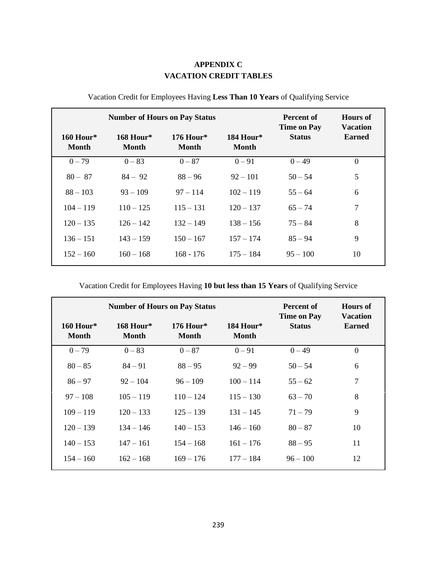## **APPENDIX C VACATION CREDIT TABLES**

| <b>Number of Hours on Pay Status</b> |                             |                             |                             | Percent of<br><b>Time on Pay</b> | <b>Hours of</b><br><b>Vacation</b> |
|--------------------------------------|-----------------------------|-----------------------------|-----------------------------|----------------------------------|------------------------------------|
| $160$ Hour*<br><b>Month</b>          | $168$ Hour*<br><b>Month</b> | $176$ Hour*<br><b>Month</b> | $184$ Hour*<br><b>Month</b> | <b>Status</b>                    | <b>Earned</b>                      |
| $0 - 79$                             | $0 - 83$                    | $0 - 87$                    | $0 - 91$                    | $0 - 49$                         | $\overline{0}$                     |
| $80 - 87$                            | $84 - 92$                   | $88 - 96$                   | $92 - 101$                  | $50 - 54$                        | 5                                  |
| $88 - 103$                           | $93 - 109$                  | $97 - 114$                  | $102 - 119$                 | $55 - 64$                        | 6                                  |
| $104 - 119$                          | $110 - 125$                 | $115 - 131$                 | $120 - 137$                 | $65 - 74$                        | 7                                  |
| $120 - 135$                          | $126 - 142$                 | $132 - 149$                 | $138 - 156$                 | $75 - 84$                        | 8                                  |
| $136 - 151$                          | $143 - 159$                 | $150 - 167$                 | $157 - 174$                 | $85 - 94$                        | 9                                  |
| $152 - 160$                          | $160 - 168$                 | $168 - 176$                 | $175 - 184$                 | $95 - 100$                       | 10                                 |

## Vacation Credit for Employees Having **Less Than 10 Years** of Qualifying Service

Vacation Credit for Employees Having **10 but less than 15 Years** of Qualifying Service

| <b>Number of Hours on Pay Status</b> |                                  |                             |                           | Percent of<br><b>Time on Pay</b> | <b>Hours</b> of<br><b>Vacation</b> |
|--------------------------------------|----------------------------------|-----------------------------|---------------------------|----------------------------------|------------------------------------|
| $160$ Hour*<br><b>Month</b>          | <b>168 Hour*</b><br><b>Month</b> | $176$ Hour*<br><b>Month</b> | 184 Hour*<br><b>Month</b> | <b>Status</b>                    | <b>Earned</b>                      |
| $0 - 79$                             | $0 - 83$                         | $0 - 87$                    | $0 - 91$                  | $0 - 49$                         | $\theta$                           |
| $80 - 85$                            | $84 - 91$                        | $88 - 95$                   | $92 - 99$                 | $50 - 54$                        | 6                                  |
| $86 - 97$                            | $92 - 104$                       | $96 - 109$                  | $100 - 114$               | $55 - 62$                        | 7                                  |
| $97 - 108$                           | $105 - 119$                      | $110 - 124$                 | $115 - 130$               | $63 - 70$                        | 8                                  |
| $109 - 119$                          | $120 - 133$                      | $125 - 139$                 | $131 - 145$               | $71 - 79$                        | 9                                  |
| $120 - 139$                          | $134 - 146$                      | $140 - 153$                 | $146 - 160$               | $80 - 87$                        | 10                                 |
| $140 - 153$                          | $147 - 161$                      | $154 - 168$                 | $161 - 176$               | $88 - 95$                        | 11                                 |
| $154 - 160$                          | $162 - 168$                      | $169 - 176$                 | $177 - 184$               | $96 - 100$                       | 12                                 |